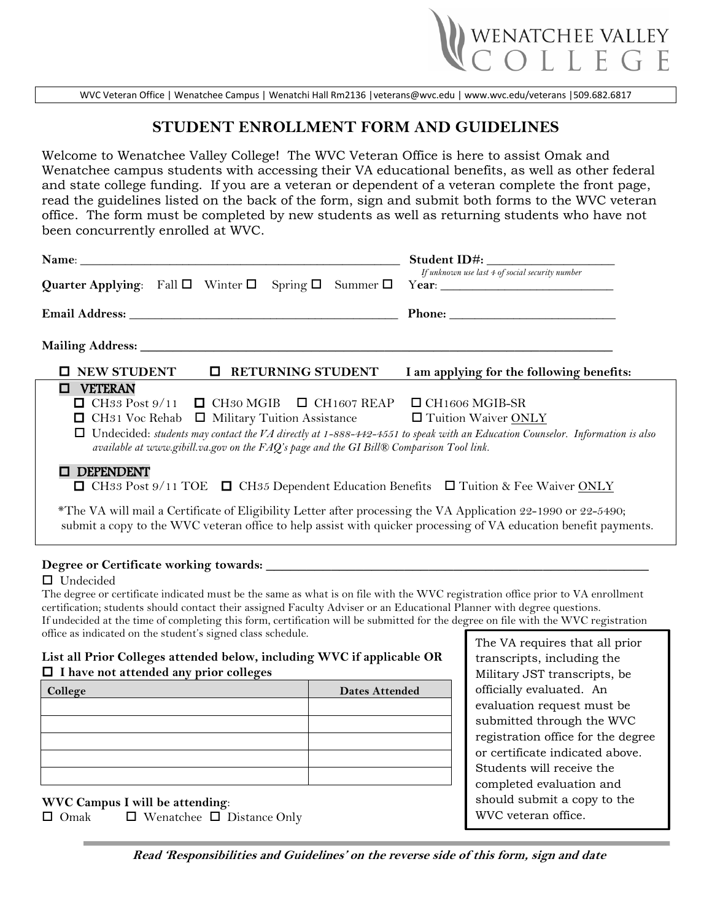

WVC Veteran Office | Wenatchee Campus | Wenatchi Hall Rm2136 [|veterans@wvc.edu](mailto:veterans@wvc.edu) [| www.wvc.edu/veterans](http://www.wvc.edu/veterans) |509.682.6817

## **STUDENT ENROLLMENT FORM AND GUIDELINES**

Welcome to Wenatchee Valley College! The WVC Veteran Office is here to assist Omak and Wenatchee campus students with accessing their VA educational benefits, as well as other federal and state college funding. If you are a veteran or dependent of a veteran complete the front page, read the guidelines listed on the back of the form, sign and submit both forms to the WVC veteran office. The form must be completed by new students as well as returning students who have not been concurrently enrolled at WVC.

|                                                                                                                                                                                                                                                                                                                                                                                                                                                                                    | Student ID#:<br>If unknown use last 4 of social security number |
|------------------------------------------------------------------------------------------------------------------------------------------------------------------------------------------------------------------------------------------------------------------------------------------------------------------------------------------------------------------------------------------------------------------------------------------------------------------------------------|-----------------------------------------------------------------|
|                                                                                                                                                                                                                                                                                                                                                                                                                                                                                    |                                                                 |
|                                                                                                                                                                                                                                                                                                                                                                                                                                                                                    |                                                                 |
|                                                                                                                                                                                                                                                                                                                                                                                                                                                                                    |                                                                 |
| $\Box$<br><b>NEW STUDENT</b><br><b>RETURNING STUDENT</b>                                                                                                                                                                                                                                                                                                                                                                                                                           | I am applying for the following benefits:                       |
| <b>VETERAN</b><br>□<br>CH33 Post 9/11 $\Box$ CH30 MGIB $\Box$ CH1607 REAP<br>CH31 Voc Rehab $\Box$ Military Tuition Assistance<br>Undecided: students may contact the VA directly at 1-888-442-4551 to speak with an Education Counselor. Information is also<br>available at www.gibill.va.gov on the FAQ's page and the GI Bill® Comparison Tool link.                                                                                                                           | $\Box$ CH1606 MGIB-SR<br>Tuition Waiver ONLY                    |
| <b>DEPENDENT</b><br><b><math>\Box</math></b> CH33 Post 9/11 TOE $\Box$ CH35 Dependent Education Benefits $\Box$ Tuition & Fee Waiver ONLY                                                                                                                                                                                                                                                                                                                                          |                                                                 |
| *The VA will mail a Certificate of Eligibility Letter after processing the VA Application 22-1990 or 22-5490;<br>submit a copy to the WVC veteran office to help assist with quicker processing of VA education benefit payments.                                                                                                                                                                                                                                                  |                                                                 |
| $\Box$ Undecided<br>The degree or certificate indicated must be the same as what is on file with the WVC registration office prior to VA enrollment<br>certification; students should contact their assigned Faculty Adviser or an Educational Planner with degree questions.<br>If undecided at the time of completing this form, certification will be submitted for the degree on file with the WVC registration<br>office as indicated on the student's signed class schedule. |                                                                 |
|                                                                                                                                                                                                                                                                                                                                                                                                                                                                                    | $\Gamma$ The VA requires that all prior                         |

## **List all Prior Colleges attended below, including WVC if applicable OR I have not attended any prior colleges**

| College | <b>Dates Attended</b> |
|---------|-----------------------|
|         |                       |
|         |                       |
|         |                       |
|         |                       |
|         |                       |

**WVC Campus I will be attending**:

 $\Box$  Omak  $\Box$  Wenatchee  $\Box$  Distance Only

The VA requires that all prior transcripts, including the Military JST transcripts, be officially evaluated. An evaluation request must be submitted through the WVC registration office for the degree or certificate indicated above. Students will receive the completed evaluation and should submit a copy to the WVC veteran office.

**Read 'Responsibilities and Guidelines' on the reverse side of this form, sign and date**